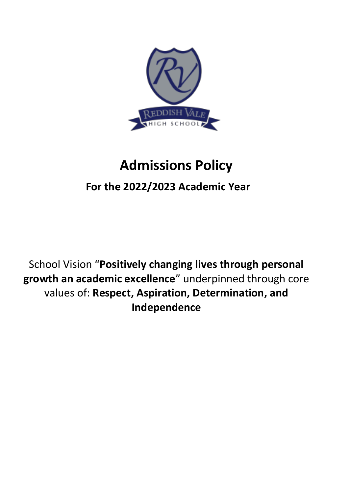

# **Admissions Policy**

## **For the 2022/2023 Academic Year**

School Vision "**Positively changing lives through personal growth an academic excellence**" underpinned through core values of: **Respect, Aspiration, Determination, and Independence**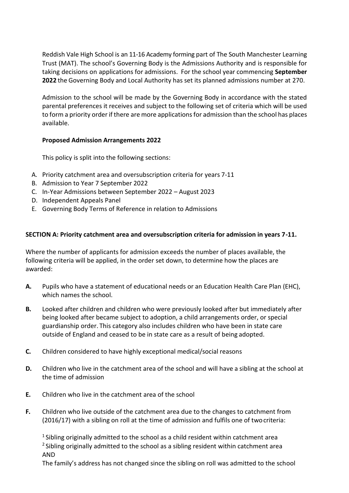Reddish Vale High School is an 11-16 Academy forming part of The South Manchester Learning Trust (MAT). The school's Governing Body is the Admissions Authority and is responsible for taking decisions on applications for admissions. For the school year commencing **September 2022** the Governing Body and Local Authority has set its planned admissions number at 270.

Admission to the school will be made by the Governing Body in accordance with the stated parental preferences it receives and subject to the following set of criteria which will be used to form a priority order if there are more applications for admission than the school has places available.

#### **Proposed Admission Arrangements 2022**

This policy is split into the following sections:

- A. Priority catchment area and oversubscription criteria for years 7-11
- B. Admission to Year 7 September 2022
- C. In-Year Admissions between September 2022 August 2023
- D. Independent Appeals Panel
- E. Governing Body Terms of Reference in relation to Admissions

### **SECTION A: Priority catchment area and oversubscription criteria for admission in years 7-11.**

Where the number of applicants for admission exceeds the number of places available, the following criteria will be applied, in the order set down, to determine how the places are awarded:

- **A.** Pupils who have a statement of educational needs or an Education Health Care Plan (EHC), which names the school.
- **B.** Looked after children and children who were previously looked after but immediately after being looked after became subject to adoption, a child arrangements order, or special guardianship order. This category also includes children who have been in state care outside of England and ceased to be in state care as a result of being adopted.
- **C.** Children considered to have highly exceptional medical/social reasons
- **D.** Children who live in the catchment area of the school and will have a sibling at the school at the time of admission
- **E.** Children who live in the catchment area of the school
- **F.** Children who live outside of the catchment area due to the changes to catchment from (2016/17) with a sibling on roll at the time of admission and fulfils one of twocriteria:

<sup>1</sup> Sibling originally admitted to the school as a child resident within catchment area <sup>2</sup> Sibling originally admitted to the school as a sibling resident within catchment area AND

The family's address has not changed since the sibling on roll was admitted to the school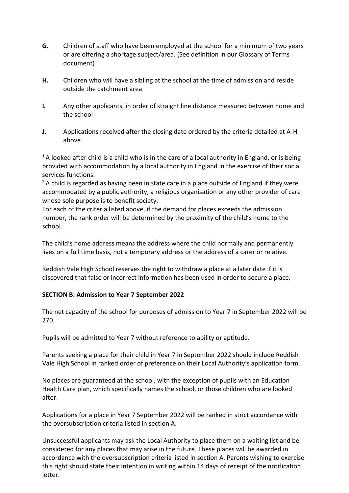- **G.** Children of staff who have been employed at the school for a minimum of two years or are offering a shortage subject/area. (See definition in our Glossary of Terms document)
- **H.** Children who will have a sibling at the school at the time of admission and reside outside the catchment area
- **I.** Any other applicants, in order of straight line distance measured between home and the school
- **J.** Applications received after the closing date ordered by the criteria detailed at A-H above

 $1A$  looked after child is a child who is in the care of a local authority in England, or is being provided with accommodation by a local authority in England in the exercise of their social services functions.

 $2A$  child is regarded as having been in state care in a place outside of England if they were accommodated by a public authority, a religious organisation or any other provider of care whose sole purpose is to benefit society.

For each of the criteria listed above, if the demand for places exceeds the admission number, the rank order will be determined by the proximity of the child's home to the school.

The child's home address means the address where the child normally and permanently lives on a full time basis, not a temporary address or the address of a carer or relative.

Reddish Vale High School reserves the right to withdraw a place at a later date if it is discovered that false or incorrect information has been used in order to secure a place.

#### **SECTION B: Admission to Year 7 September 2022**

The net capacity of the school for purposes of admission to Year 7 in September 2022 will be 270.

Pupils will be admitted to Year 7 without reference to ability or aptitude.

Parents seeking a place for their child in Year 7 in September 2022 should include Reddish Vale High School in ranked order of preference on their Local Authority's application form.

No places are guaranteed at the school, with the exception of pupils with an Education Health Care plan, which specifically names the school, or those children who are looked after.

Applications for a place in Year 7 September 2022 will be ranked in strict accordance with the oversubscription criteria listed in section A.

Unsuccessful applicants may ask the Local Authority to place them on a waiting list and be considered for any places that may arise in the future. These places will be awarded in accordance with the oversubscription criteria listed in section A. Parents wishing to exercise this right should state their intention in writing within 14 days of receipt of the notification letter.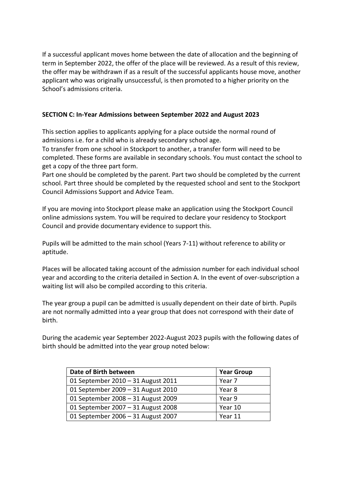If a successful applicant moves home between the date of allocation and the beginning of term in September 2022, the offer of the place will be reviewed. As a result of this review, the offer may be withdrawn if as a result of the successful applicants house move, another applicant who was originally unsuccessful, is then promoted to a higher priority on the School's admissions criteria.

#### **SECTION C: In-Year Admissions between September 2022 and August 2023**

This section applies to applicants applying for a place outside the normal round of admissions i.e. for a child who is already secondary school age.

To transfer from one school in Stockport to another, a transfer form will need to be completed. These forms are available in secondary schools. You must contact the school to get a copy of the three part form.

Part one should be completed by the parent. Part two should be completed by the current school. Part three should be completed by the requested school and sent to the Stockport Council Admissions Support and Advice Team.

If you are moving into Stockport please make an application using the Stockport Council online admissions system. You will be required to declare your residency to Stockport Council and provide documentary evidence to support this.

Pupils will be admitted to the main school (Years 7-11) without reference to ability or aptitude.

Places will be allocated taking account of the admission number for each individual school year and according to the criteria detailed in Section A. In the event of over-subscription a waiting list will also be compiled according to this criteria.

The year group a pupil can be admitted is usually dependent on their date of birth. Pupils are not normally admitted into a year group that does not correspond with their date of birth.

During the academic year September 2022-August 2023 pupils with the following dates of birth should be admitted into the year group noted below:

| Date of Birth between              | <b>Year Group</b> |
|------------------------------------|-------------------|
| 01 September 2010 - 31 August 2011 | Year 7            |
| 01 September 2009 - 31 August 2010 | Year 8            |
| 01 September 2008 - 31 August 2009 | Year 9            |
| 01 September 2007 - 31 August 2008 | Year 10           |
| 01 September 2006 - 31 August 2007 | Year 11           |